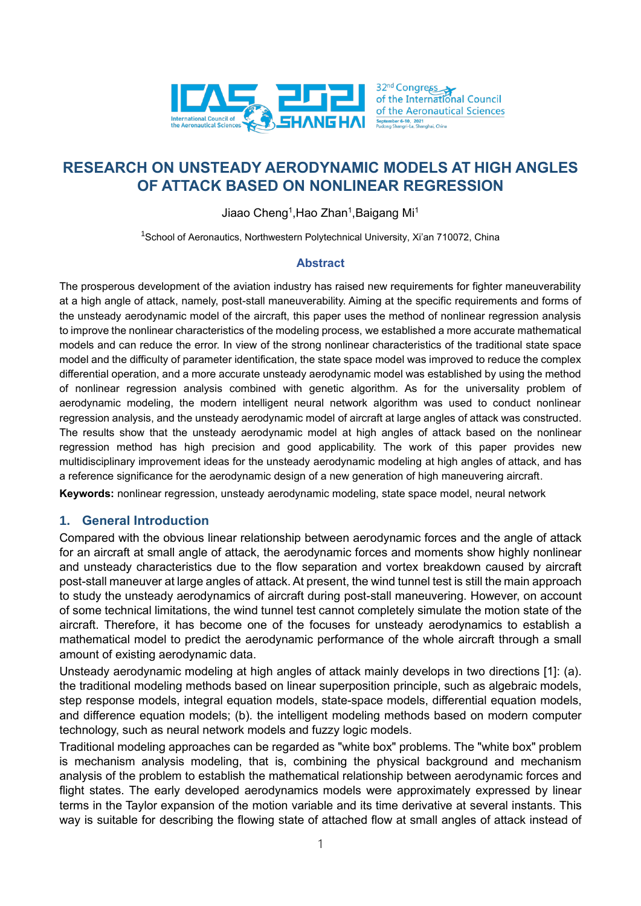

# **RESEARCH ON UNSTEADY AERODYNAMIC MODELS AT HIGH ANGLES OF ATTACK BASED ON NONLINEAR REGRESSION**

Jiaao Cheng $^{\rm 1}$ ,Hao Zhan $^{\rm 1}$ ,Baigang Mi $^{\rm 1}$ 

<sup>1</sup>School of Aeronautics, Northwestern Polytechnical University, Xi'an 710072, China

### **Abstract**

The prosperous development of the aviation industry has raised new requirements for fighter maneuverability at a high angle of attack, namely, post-stall maneuverability. Aiming at the specific requirements and forms of the unsteady aerodynamic model of the aircraft, this paper uses the method of nonlinear regression analysis to improve the nonlinear characteristics of the modeling process, we established a more accurate mathematical models and can reduce the error. In view of the strong nonlinear characteristics of the traditional state space model and the difficulty of parameter identification, the state space model was improved to reduce the complex differential operation, and a more accurate unsteady aerodynamic model was established by using the method of nonlinear regression analysis combined with genetic algorithm. As for the universality problem of aerodynamic modeling, the modern intelligent neural network algorithm was used to conduct nonlinear regression analysis, and the unsteady aerodynamic model of aircraft at large angles of attack was constructed. The results show that the unsteady aerodynamic model at high angles of attack based on the nonlinear regression method has high precision and good applicability. The work of this paper provides new multidisciplinary improvement ideas for the unsteady aerodynamic modeling at high angles of attack, and has a reference significance for the aerodynamic design of a new generation of high maneuvering aircraft.

**Keywords:** nonlinear regression, unsteady aerodynamic modeling, state space model, neural network

# **1. General Introduction**

Compared with the obvious linear relationship between aerodynamic forces and the angle of attack for an aircraft at small angle of attack, the aerodynamic forces and moments show highly nonlinear and unsteady characteristics due to the flow separation and vortex breakdown caused by aircraft post-stall maneuver at large angles of attack. At present, the wind tunnel test is still the main approach to study the unsteady aerodynamics of aircraft during post-stall maneuvering. However, on account of some technical limitations, the wind tunnel test cannot completely simulate the motion state of the aircraft. Therefore, it has become one of the focuses for unsteady aerodynamics to establish a mathematical model to predict the aerodynamic performance of the whole aircraft through a small amount of existing aerodynamic data.

Unsteady aerodynamic modeling at high angles of attack mainly develops in two directions [\[1\]:](#page-10-0) (a). the traditional modeling methods based on linear superposition principle, such as algebraic models, step response models, integral equation models, state-space models, differential equation models, and difference equation models; (b). the intelligent modeling methods based on modern computer technology, such as neural network models and fuzzy logic models.

Traditional modeling approaches can be regarded as "white box" problems. The "white box" problem is mechanism analysis modeling, that is, combining the physical background and mechanism analysis of the problem to establish the mathematical relationship between aerodynamic forces and flight states. The early developed aerodynamics models were approximately expressed by linear terms in the Taylor expansion of the motion variable and its time derivative at several instants. This way is suitable for describing the flowing state of attached flow at small angles of attack instead of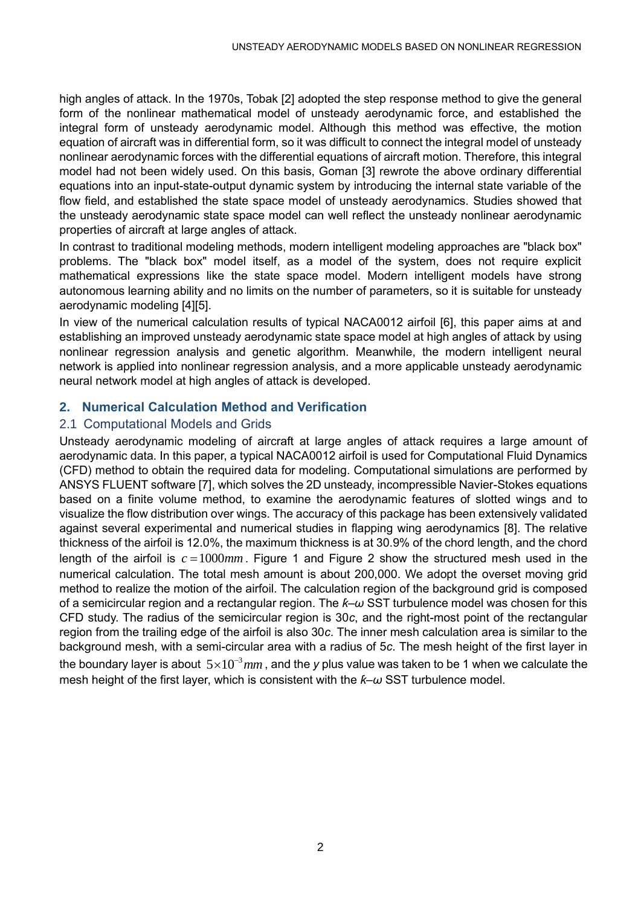high angles of attack. In the 1970s, Tobak [\[2\]](#page-10-1) adopted the step response method to give the general form of the nonlinear mathematical model of unsteady aerodynamic force, and established the integral form of unsteady aerodynamic model. Although this method was effective, the motion equation of aircraft was in differential form, so it was difficult to connect the integral model of unsteady nonlinear aerodynamic forces with the differential equations of aircraft motion. Therefore, this integral model had not been widely used. On this basis, Goman [\[3\]](#page-10-2) rewrote the above ordinary differential equations into an input-state-output dynamic system by introducing the internal state variable of the flow field, and established the state space model of unsteady aerodynamics. Studies showed that the unsteady aerodynamic state space model can well reflect the unsteady nonlinear aerodynamic properties of aircraft at large angles of attack.

In contrast to traditional modeling methods, modern intelligent modeling approaches are "black box" problems. The "black box" model itself, as a model of the system, does not require explicit mathematical expressions like the state space model. Modern intelligent models have strong autonomous learning ability and no limits on the number of parameters, so it is suitable for unsteady aerodynamic modeling [\[4\]](#page-10-3)[\[5\].](#page-10-4)

In view of the numerical calculation results of typical NACA0012 airfoil [\[6\],](#page-10-5) this paper aims at and establishing an improved unsteady aerodynamic state space model at high angles of attack by using nonlinear regression analysis and genetic algorithm. Meanwhile, the modern intelligent neural network is applied into nonlinear regression analysis, and a more applicable unsteady aerodynamic neural network model at high angles of attack is developed.

# **2. Numerical Calculation Method and Verification**

# 2.1 Computational Models and Grids

Unsteady aerodynamic modeling of aircraft at large angles of attack requires a large amount of aerodynamic data. In this paper, a typical NACA0012 airfoil is used for Computational Fluid Dynamics (CFD) method to obtain the required data for modeling. Computational simulations are performed by ANSYS FLUENT software [\[7\],](#page-10-6) which solves the 2D unsteady, incompressible Navier-Stokes equations based on a finite volume method, to examine the aerodynamic features of slotted wings and to visualize the flow distribution over wings. The accuracy of this package has been extensively validated against several experimental and numerical studies in flapping wing aerodynamics [\[8\].](#page-10-7) The relative thickness of the airfoil is 12.0%, the maximum thickness is at 30.9% of the chord length, and the chord length of the airfoil is  $c = 1000$ mm. [Figure 1](#page-2-0) and [Figure 2](#page-2-1) show the structured mesh used in the numerical calculation. The total mesh amount is about 200,000. We adopt the overset moving grid method to realize the motion of the airfoil. The calculation region of the background grid is composed of a semicircular region and a rectangular region. The *ƙ–ω* SST turbulence model was chosen for this CFD study. The radius of the semicircular region is 30*c*, and the right-most point of the rectangular region from the trailing edge of the airfoil is also 30*c*. The inner mesh calculation area is similar to the background mesh, with a semi-circular area with a radius of 5*c*. The mesh height of the first layer in the boundary layer is about  $\,5{\times}10^{-3}\,mm$  , and the *y* plus value was taken to be 1 when we calculate the mesh height of the first layer, which is consistent with the *ƙ–ω* SST turbulence model.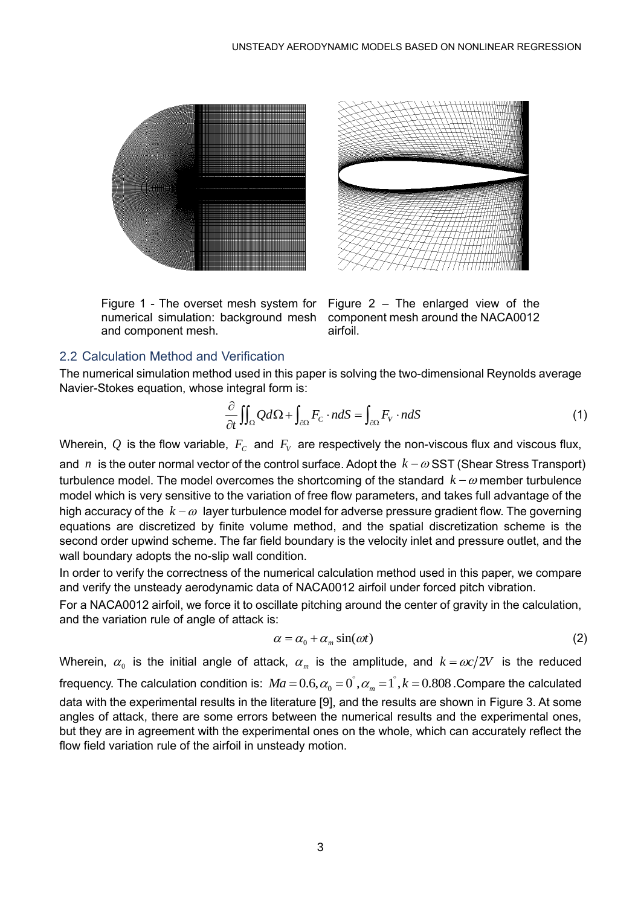

<span id="page-2-0"></span>Figure 1 - The overset mesh system for numerical simulation: background mesh and component mesh.



<span id="page-2-1"></span>Figure 2 – The enlarged view of the component mesh around the NACA0012 airfoil.

### 2.2 Calculation Method and Verification

The numerical simulation method used in this paper is solving the two-dimensional Reynolds average Navier-Stokes equation, whose integral form is:

integral form is:  
\n
$$
\frac{\partial}{\partial t} \iint_{\Omega} Q d\Omega + \int_{\partial \Omega} F_C \cdot n dS = \int_{\partial \Omega} F_V \cdot n dS
$$
\n(1)

Wherein,  $\mathcal Q$  is the flow variable,  $F_{\mathcal C}$  and  $F_{\mathcal V}$  are respectively the non-viscous flux and viscous flux, and  $n$  is the outer normal vector of the control surface. Adopt the  $k - \omega SST$  (Shear Stress Transport) turbulence model. The model overcomes the shortcoming of the standard *k* − member turbulence model which is very sensitive to the variation of free flow parameters, and takes full advantage of the high accuracy of the  $k-\omega$  layer turbulence model for adverse pressure gradient flow. The governing equations are discretized by finite volume method, and the spatial discretization scheme is the second order upwind scheme. The far field boundary is the velocity inlet and pressure outlet, and the wall boundary adopts the no-slip wall condition.

In order to verify the correctness of the numerical calculation method used in this paper, we compare and verify the unsteady aerodynamic data of NACA0012 airfoil under forced pitch vibration.

For a NACA0012 airfoil, we force it to oscillate pitching around the center of gravity in the calculation, and the variation rule of angle of attack is:

$$
\alpha = \alpha_0 + \alpha_m \sin(\omega t) \tag{2}
$$

Wherein,  $\alpha_{_0}$  is the initial angle of attack,  $\alpha_{_m}$  is the amplitude, and  $k = \alpha c / 2V$  is the reduced vinerein,  $\alpha_0$  is the initial angle of attack,  $\alpha_m$  is the amplitude, and  $\kappa = \omega c/2v$  is the reduced<br>frequency. The calculation condition is:  $Ma = 0.6, \alpha_0 = 0^\circ, \alpha_m = 1^\circ, k = 0.808$ .Compare the calculated data with the experimental results in the literature [\[9\],](#page-10-8) and the results are shown in [Figure 3.](#page-3-0) At some angles of attack, there are some errors between the numerical results and the experimental ones, but they are in agreement with the experimental ones on the whole, which can accurately reflect the flow field variation rule of the airfoil in unsteady motion.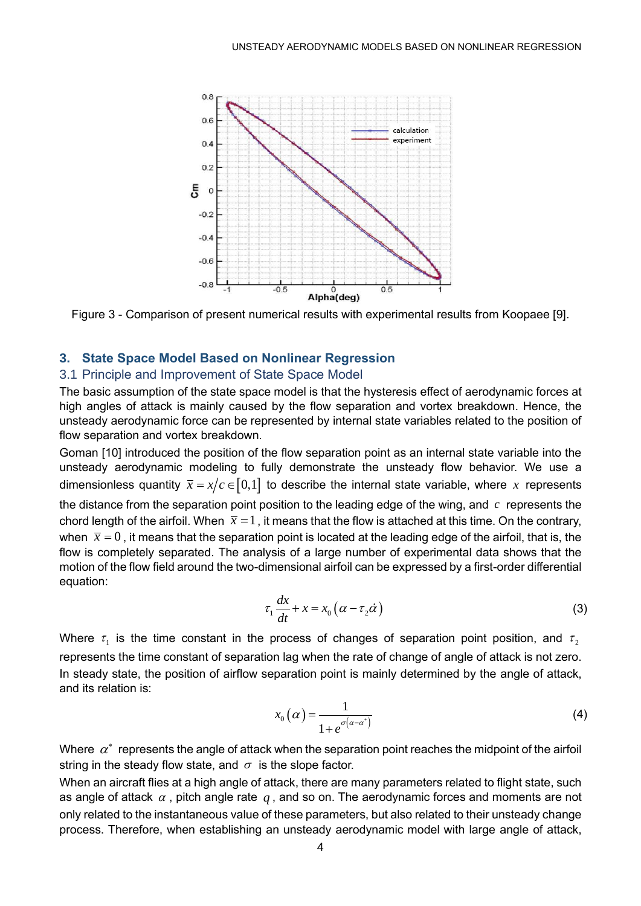

<span id="page-3-0"></span>Figure 3 - Comparison of present numerical results with experimental results from Koopaee [\[9\].](#page-10-8)

# **3. State Space Model Based on Nonlinear Regression**

#### 3.1 Principle and Improvement of State Space Model

The basic assumption of the state space model is that the hysteresis effect of aerodynamic forces at high angles of attack is mainly caused by the flow separation and vortex breakdown. Hence, the unsteady aerodynamic force can be represented by internal state variables related to the position of flow separation and vortex breakdown.

Goman [\[10\]](#page-10-9) introduced the position of the flow separation point as an internal state variable into the unsteady aerodynamic modeling to fully demonstrate the unsteady flow behavior. We use a dimensionless quantity  $\bar{x} = x/c \in [0,1]$  to describe the internal state variable, where  $x$  represents the distance from the separation point position to the leading edge of the wing, and  $\,c\,$  represents the chord length of the airfoil. When  $\bar{x} = 1$  , it means that the flow is attached at this time. On the contrary, when  $\bar{x}$  =  $0$  , it means that the separation point is located at the leading edge of the airfoil, that is, the flow is completely separated. The analysis of a large number of experimental data shows that the motion of the flow field around the two-dimensional airfoil can be expressed by a first-order differential equation:

$$
\tau_1 \frac{dx}{dt} + x = x_0 \left( \alpha - \tau_2 \dot{\alpha} \right)
$$
\n(3)

Where  $\tau_{_1}$  is the time constant in the process of changes of separation point position, and  $\tau_{_2}$ represents the time constant of separation lag when the rate of change of angle of attack is not zero. In steady state, the position of airflow separation point is mainly determined by the angle of attack, and its relation is:

$$
x_0(\alpha) = \frac{1}{1 + e^{\sigma(\alpha - \alpha^*)}}
$$
 (4)

Where  $\,\alpha^*\,$  represents the angle of attack when the separation point reaches the midpoint of the airfoil string in the steady flow state, and  $\,\sigma\,$  is the slope factor.

When an aircraft flies at a high angle of attack, there are many parameters related to flight state, such as angle of attack  $\alpha$  , pitch angle rate  $\,q$  , and so on. The aerodynamic forces and moments are not only related to the instantaneous value of these parameters, but also related to their unsteady change process. Therefore, when establishing an unsteady aerodynamic model with large angle of attack,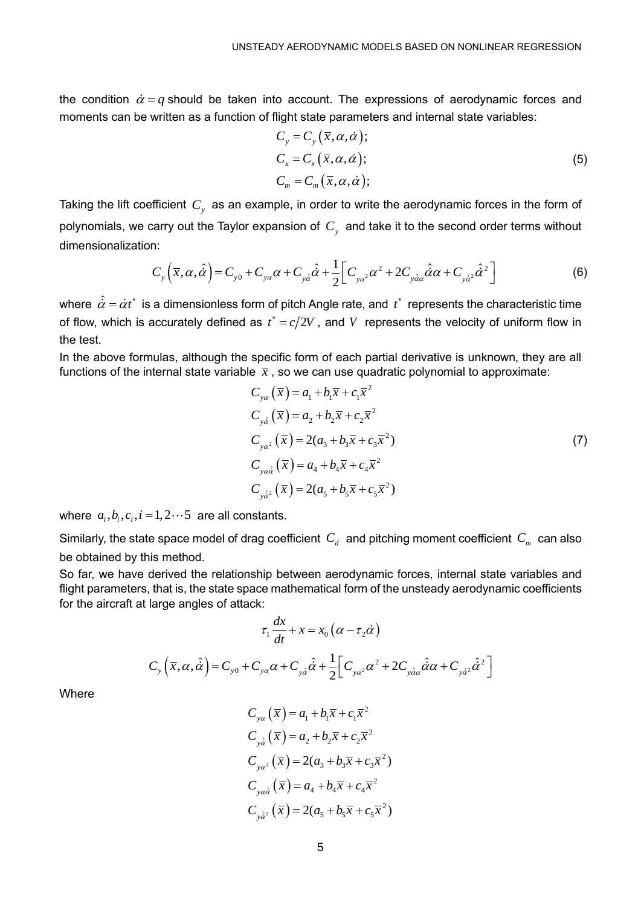the condition  $\dot{\alpha}$  =  $q$  should be taken into account. The expressions of aerodynamic forces and moments can be written as a function of flight state parameters and internal state variables:

$$
C_{y} = C_{y} (\overline{x}, \alpha, \dot{\alpha});
$$
  
\n
$$
C_{x} = C_{x} (\overline{x}, \alpha, \dot{\alpha});
$$
  
\n
$$
C_{m} = C_{m} (\overline{x}, \alpha, \dot{\alpha});
$$
\n(5)

Taking the lift coefficient  $\,C_{_y}\,$  as an example, in order to write the aerodynamic forces in the form of polynomials, we carry out the Taylor expansion of  $C_y$  and take it to the second order terms without<br>dimensionalization:<br> $C_y(\bar{x}, \alpha, \hat{\alpha}) = C_{y0} + C_{y\alpha}\alpha + C_{y\hat{\alpha}}\hat{\alpha} + \frac{1}{2} \Big[ C_{y\alpha^2}\alpha^2 + 2C_{y\hat{\alpha}\alpha}\hat{\alpha}\alpha + C_{y\hat{\alpha}^2}\hat{\alpha}^$ dimensionalization:

n:  
\n
$$
C_y \left( \overline{x}, \alpha, \hat{\alpha} \right) = C_{y0} + C_{y\alpha} \alpha + C_{y\hat{\alpha}} \hat{\alpha} + \frac{1}{2} \left[ C_{y\alpha^2} \alpha^2 + 2C_{y\hat{\alpha}\alpha} \hat{\alpha} \alpha + C_{y\hat{\alpha}^2} \hat{\alpha}^2 \right]
$$
\n(6)

where  $\,\hat{\dot\alpha}=\dot\alpha t^* \,$  is a dimensionless form of pitch Angle rate, and  $\,t^* \,$  represents the characteristic time of flow, which is accurately defined as  $t^* = c/2V$  , and V represents the velocity of uniform flow in the test.

In the above formulas, although the specific form of each partial derivative is unknown, they are all functions of the internal state variable  $\,\overline{x}$  , so we can use quadratic polynomial to approximate:

$$
C_{ya}(\bar{x}) = a_1 + b_1 \bar{x} + c_1 \bar{x}^2
$$
  
\n
$$
C_{y\hat{a}}(\bar{x}) = a_2 + b_2 \bar{x} + c_2 \bar{x}^2
$$
  
\n
$$
C_{ya\hat{a}}(\bar{x}) = 2(a_3 + b_3 \bar{x} + c_3 \bar{x}^2)
$$
  
\n
$$
C_{ya\hat{a}}(\bar{x}) = a_4 + b_4 \bar{x} + c_4 \bar{x}^2
$$
  
\n
$$
C_{y\hat{a}^2}(\bar{x}) = 2(a_5 + b_5 \bar{x} + c_5 \bar{x}^2)
$$
\n(7)

where  $a_i, b_i, c_i, i = 1, 2 \cdots 5$  are all constants.

Similarly, the state space model of drag coefficient  $\,C_d^{} \,$  and pitching moment coefficient  $\,C_m^{} \,$  can also be obtained by this method.

So far, we have derived the relationship between aerodynamic forces, internal state variables and flight parameters, that is, the state space mathematical form of the unsteady aerodynamic coefficients for the aircraft at large angles of attack:

$$
\tau_1 \frac{dx}{dt} + x = x_0 \left( \alpha - \tau_2 \dot{\alpha} \right)
$$

$$
C_y \left( \overline{x}, \alpha, \hat{\alpha} \right) = C_{y0} + C_{y\alpha} \alpha + C_{y\hat{\alpha}} \hat{\alpha} + \frac{1}{2} \left[ C_{y\alpha^2} \alpha^2 + 2C_{y\hat{\alpha}\alpha} \hat{\alpha} \alpha + C_{y\hat{\alpha}^2} \hat{\alpha}^2 \right]
$$

**Where** 

$$
C_{ya}(\overline{x}) = a_1 + b_1\overline{x} + c_1\overline{x}^2
$$
  
\n
$$
C_{y\dot{a}}(\overline{x}) = a_2 + b_2\overline{x} + c_2\overline{x}^2
$$
  
\n
$$
C_{y\dot{a}^2}(\overline{x}) = 2(a_3 + b_3\overline{x} + c_3\overline{x}^2)
$$
  
\n
$$
C_{y\dot{a}\dot{\alpha}}(\overline{x}) = a_4 + b_4\overline{x} + c_4\overline{x}^2
$$
  
\n
$$
C_{y\dot{a}^2}(\overline{x}) = 2(a_5 + b_5\overline{x} + c_5\overline{x}^2)
$$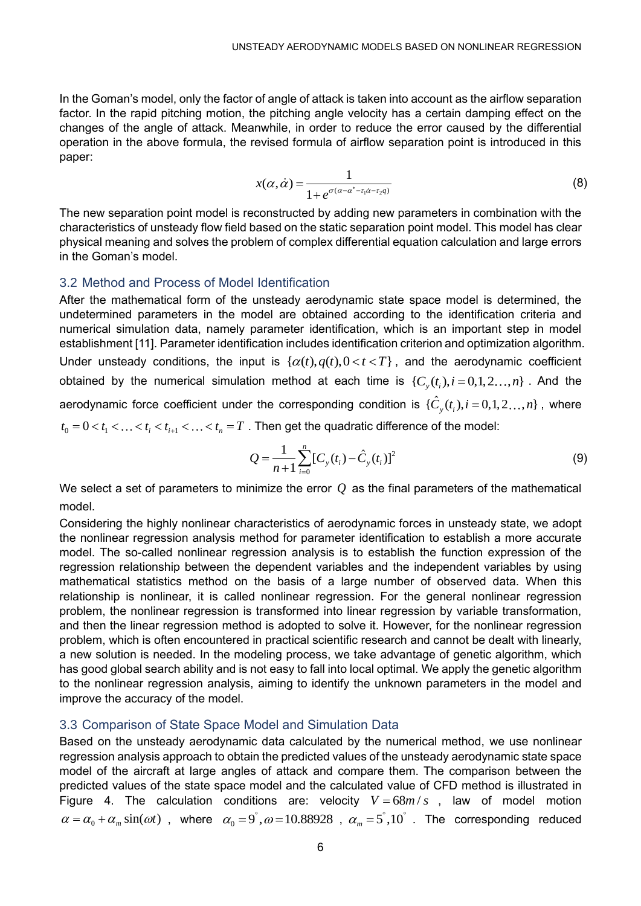In the Goman's model, only the factor of angle of attack is taken into account as the airflow separation factor. In the rapid pitching motion, the pitching angle velocity has a certain damping effect on the changes of the angle of attack. Meanwhile, in order to reduce the error caused by the differential operation in the above formula, the revised formula of airflow separation point is introduced in this paper:

$$
x(\alpha, \dot{\alpha}) = \frac{1}{1 + e^{\sigma(\alpha - \alpha^* - \tau_1 \dot{\alpha} - \tau_2 q)}}
$$
(8)

The new separation point model is reconstructed by adding new parameters in combination with the characteristics of unsteady flow field based on the static separation point model. This model has clear physical meaning and solves the problem of complex differential equation calculation and large errors in the Goman's model.

#### 3.2 Method and Process of Model Identification

After the mathematical form of the unsteady aerodynamic state space model is determined, the undetermined parameters in the model are obtained according to the identification criteria and numerical simulation data, namely parameter identification, which is an important step in model establishment [\[11\].](#page-10-10) Parameter identification includes identification criterion and optimization algorithm. Under unsteady conditions, the input is  $\{ \alpha(t), q(t), 0 < t < T \}$ , and the aerodynamic coefficient obtained by the numerical simulation method at each time is  $\{C_{\mathbf{y}}(t_i), i \!=\! 0, 1, 2 \ldots, n\}$  . And the aerodynamic force coefficient under the corresponding condition is  $\{\hat{C}_y(t_i), i\!=\!0,1,2...,n\}$  , where derodynamic force coenicient under the corresponding condition is  $\{C_y(t_i), i=0,1,$ <br> $t_0 = 0 < t_1 < ... < t_i < t_{i+1} < ... < t_n = T$ . Then get the quadratic difference of the model:

$$
Q = \frac{1}{n+1} \sum_{i=0}^{n} [C_{y}(t_i) - \hat{C}_{y}(t_i)]^2
$$
\n(9)

We select a set of parameters to minimize the error  $\varrho$  as the final parameters of the mathematical model.

Considering the highly nonlinear characteristics of aerodynamic forces in unsteady state, we adopt the nonlinear regression analysis method for parameter identification to establish a more accurate model. The so-called nonlinear regression analysis is to establish the function expression of the regression relationship between the dependent variables and the independent variables by using mathematical statistics method on the basis of a large number of observed data. When this relationship is nonlinear, it is called nonlinear regression. For the general nonlinear regression problem, the nonlinear regression is transformed into linear regression by variable transformation, and then the linear regression method is adopted to solve it. However, for the nonlinear regression problem, which is often encountered in practical scientific research and cannot be dealt with linearly, a new solution is needed. In the modeling process, we take advantage of genetic algorithm, which has good global search ability and is not easy to fall into local optimal. We apply the genetic algorithm to the nonlinear regression analysis, aiming to identify the unknown parameters in the model and improve the accuracy of the model.

#### 3.3 Comparison of State Space Model and Simulation Data

Based on the unsteady aerodynamic data calculated by the numerical method, we use nonlinear regression analysis approach to obtain the predicted values of the unsteady aerodynamic state space model of the aircraft at large angles of attack and compare them. The comparison between the predicted values of the state space model and the calculated value of CFD method is illustrated in [Figure 4.](#page-6-0) The calculation conditions are: velocity  $V = 68 m/s$ , law of model motion  $\alpha = \alpha_0 + \alpha_m \sin(\omega t)$ , where  $\alpha_0 = 9^\circ$ ,  $\omega = 10.88928$ ,  $\alpha_m = 5^\circ, 10^\circ$ . The corresponding reduced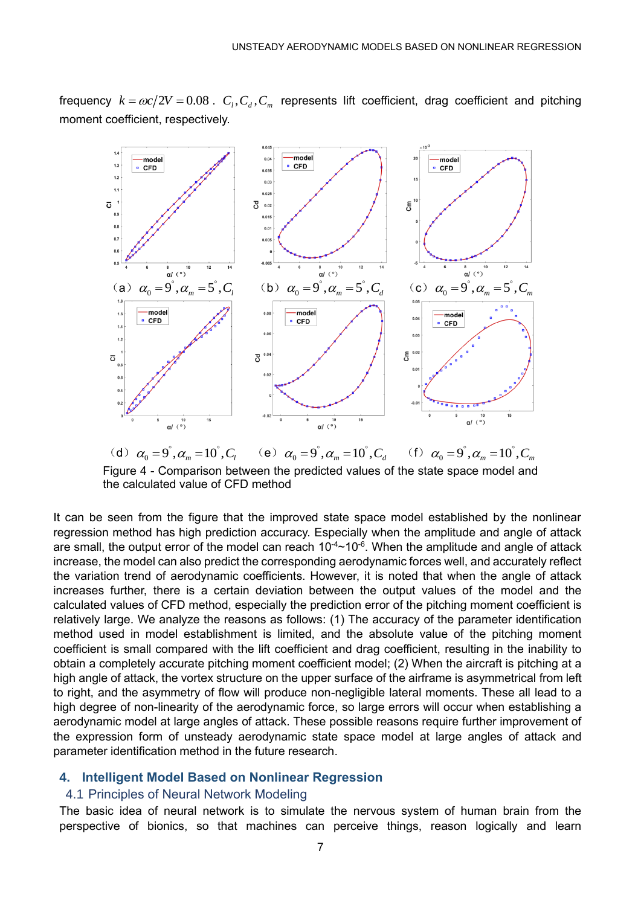

frequency  $k = \omega c / 2V = 0.08$  .  $C_l, C_d, C_m$  represents lift coefficient, drag coefficient and pitching moment coefficient, respectively.

<span id="page-6-0"></span>(d)  $\alpha_0 = 9^\circ, \alpha_m = 10^\circ, C_l$ (e)  $\alpha_0 = 9^\circ, \alpha_m = 10^\circ, C_d$  (f)  $\alpha_0 = 9^\circ, \alpha_m = 10^\circ, C_m$ Figure 4 - Comparison between the predicted values of the state space model and the calculated value of CFD method

It can be seen from the figure that the improved state space model established by the nonlinear regression method has high prediction accuracy. Especially when the amplitude and angle of attack are small, the output error of the model can reach 10<sup>-4</sup>~10<sup>-6</sup>. When the amplitude and angle of attack increase, the model can also predict the corresponding aerodynamic forces well, and accurately reflect the variation trend of aerodynamic coefficients. However, it is noted that when the angle of attack increases further, there is a certain deviation between the output values of the model and the calculated values of CFD method, especially the prediction error of the pitching moment coefficient is relatively large. We analyze the reasons as follows: (1) The accuracy of the parameter identification method used in model establishment is limited, and the absolute value of the pitching moment coefficient is small compared with the lift coefficient and drag coefficient, resulting in the inability to obtain a completely accurate pitching moment coefficient model; (2) When the aircraft is pitching at a high angle of attack, the vortex structure on the upper surface of the airframe is asymmetrical from left to right, and the asymmetry of flow will produce non-negligible lateral moments. These all lead to a high degree of non-linearity of the aerodynamic force, so large errors will occur when establishing a aerodynamic model at large angles of attack. These possible reasons require further improvement of the expression form of unsteady aerodynamic state space model at large angles of attack and parameter identification method in the future research.

#### **4. Intelligent Model Based on Nonlinear Regression**

# 4.1 Principles of Neural Network Modeling

The basic idea of neural network is to simulate the nervous system of human brain from the perspective of bionics, so that machines can perceive things, reason logically and learn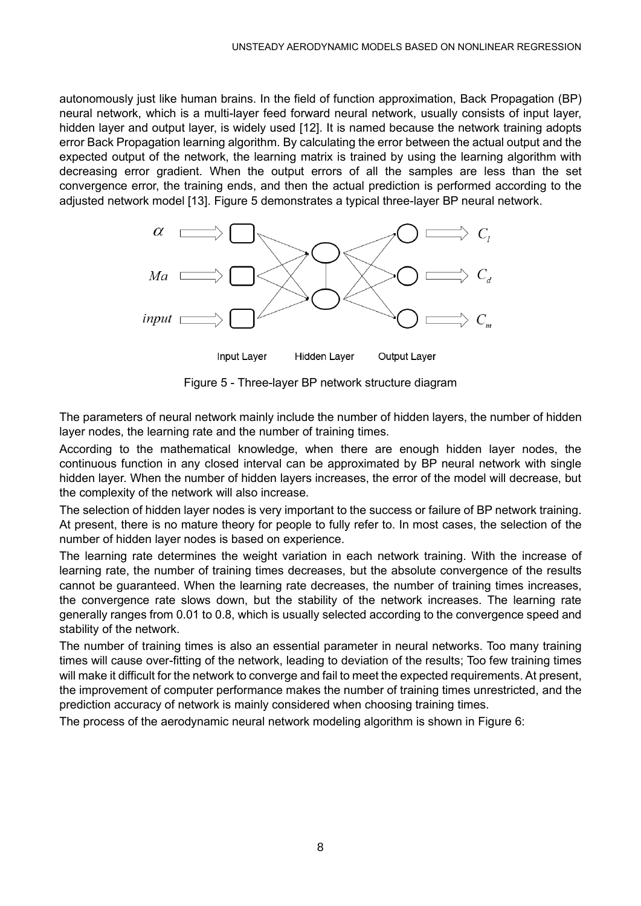autonomously just like human brains. In the field of function approximation, Back Propagation (BP) neural network, which is a multi-layer feed forward neural network, usually consists of input layer, hidden layer and output layer, is widely used [\[12\].](#page-10-11) It is named because the network training adopts error Back Propagation learning algorithm. By calculating the error between the actual output and the expected output of the network, the learning matrix is trained by using the learning algorithm with decreasing error gradient. When the output errors of all the samples are less than the set convergence error, the training ends, and then the actual prediction is performed according to the adjusted network model [\[13\].](#page-10-12) [Figure 5](#page-7-0) demonstrates a typical three-layer BP neural network.



Figure 5 - Three-layer BP network structure diagram

<span id="page-7-0"></span>The parameters of neural network mainly include the number of hidden layers, the number of hidden layer nodes, the learning rate and the number of training times.

According to the mathematical knowledge, when there are enough hidden layer nodes, the continuous function in any closed interval can be approximated by BP neural network with single hidden layer. When the number of hidden layers increases, the error of the model will decrease, but the complexity of the network will also increase.

The selection of hidden layer nodes is very important to the success or failure of BP network training. At present, there is no mature theory for people to fully refer to. In most cases, the selection of the number of hidden layer nodes is based on experience.

The learning rate determines the weight variation in each network training. With the increase of learning rate, the number of training times decreases, but the absolute convergence of the results cannot be guaranteed. When the learning rate decreases, the number of training times increases, the convergence rate slows down, but the stability of the network increases. The learning rate generally ranges from 0.01 to 0.8, which is usually selected according to the convergence speed and stability of the network.

The number of training times is also an essential parameter in neural networks. Too many training times will cause over-fitting of the network, leading to deviation of the results; Too few training times will make it difficult for the network to converge and fail to meet the expected requirements. At present, the improvement of computer performance makes the number of training times unrestricted, and the prediction accuracy of network is mainly considered when choosing training times.

The process of the aerodynamic neural network modeling algorithm is shown in [Figure 6:](#page-8-0)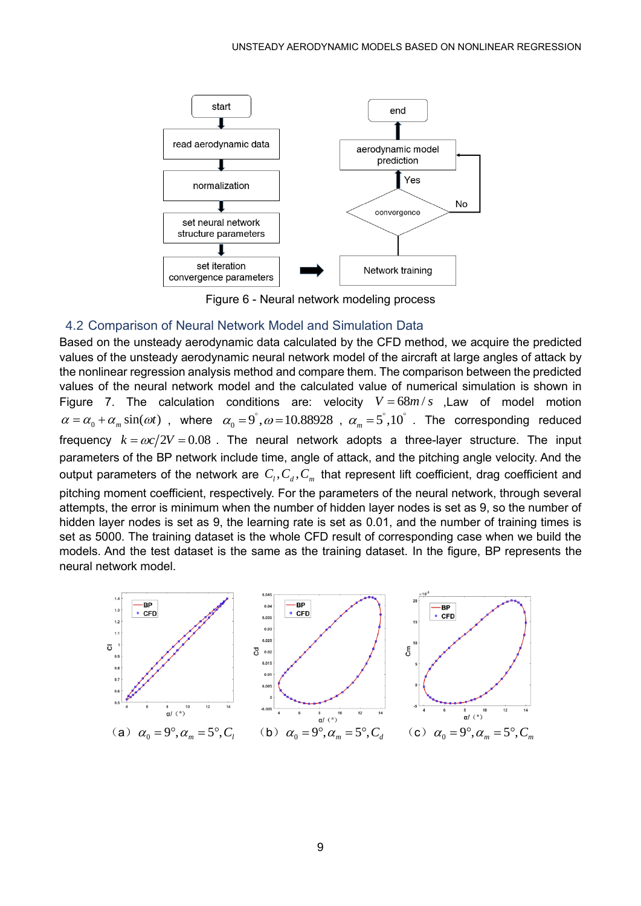

Figure 6 - Neural network modeling process

## <span id="page-8-0"></span>4.2 Comparison of Neural Network Model and Simulation Data

Based on the unsteady aerodynamic data calculated by the CFD method, we acquire the predicted values of the unsteady aerodynamic neural network model of the aircraft at large angles of attack by the nonlinear regression analysis method and compare them. The comparison between the predicted values of the neural network model and the calculated value of numerical simulation is shown in [Figure 7.](#page-9-0) The calculation conditions are: velocity  $V = 68 m/s$  , Law of model motion  $\alpha = \alpha_0 + \alpha_m \sin(\omega t)$ , where  $\alpha_0 = 9^\circ$ ,  $\omega = 10.88928$ ,  $\alpha_m = 5^\circ, 10^\circ$ . The corresponding reduced frequency  $k = \omega c / 2V = 0.08$  . The neural network adopts a three-layer structure. The input parameters of the BP network include time, angle of attack, and the pitching angle velocity. And the output parameters of the network are  $\,C_{_l},C_{_d},C_{_m}\,$  that represent lift coefficient, drag coefficient and pitching moment coefficient, respectively. For the parameters of the neural network, through several attempts, the error is minimum when the number of hidden layer nodes is set as 9, so the number of hidden layer nodes is set as 9, the learning rate is set as 0.01, and the number of training times is set as 5000. The training dataset is the whole CFD result of corresponding case when we build the models. And the test dataset is the same as the training dataset. In the figure, BP represents the neural network model.

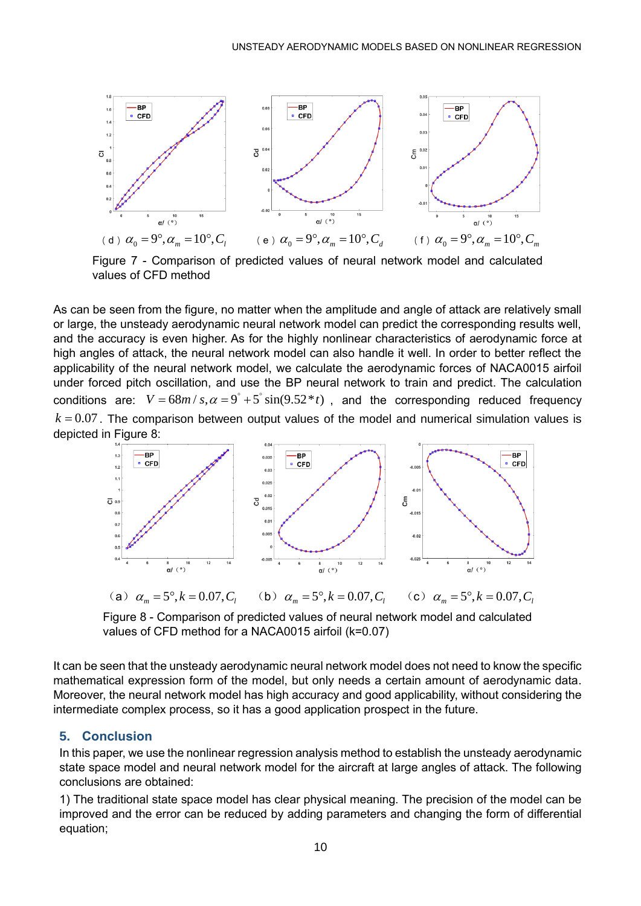

<span id="page-9-0"></span>Figure 7 - Comparison of predicted values of neural network model and calculated values of CFD method

As can be seen from the figure, no matter when the amplitude and angle of attack are relatively small or large, the unsteady aerodynamic neural network model can predict the corresponding results well, and the accuracy is even higher. As for the highly nonlinear characteristics of aerodynamic force at high angles of attack, the neural network model can also handle it well. In order to better reflect the applicability of the neural network model, we calculate the aerodynamic forces of NACA0015 airfoil under forced pitch oscillation, and use the BP neural network to train and predict. The calculation under forced pitch oscillation, and use the BP neural network to train and predict. The calculation condition<br>conditions are:  $\textit{V} = 68 m$  /  $\textit{s}$ , $\alpha$  =  $9°$  +  $5°$   $\text{sin}(9.52* t)$  , and the corresponding reduced  $k = 0.07$ . The comparison between output values of the model and numerical simulation values is depicted in [Figure 8:](#page-9-1)



(a)  $\alpha_m = 5^\circ, k = 0.07, C_l$ (**b**)  $\alpha_m = 5^\circ, k = 0.07, C$ (c)  $\alpha_m = 5^\circ, k = 0.07, C$ 

<span id="page-9-1"></span>Figure 8 - Comparison of predicted values of neural network model and calculated values of CFD method for a NACA0015 airfoil (k=0.07)

It can be seen that the unsteady aerodynamic neural network model does not need to know the specific mathematical expression form of the model, but only needs a certain amount of aerodynamic data. Moreover, the neural network model has high accuracy and good applicability, without considering the intermediate complex process, so it has a good application prospect in the future.

# **5. Conclusion**

In this paper, we use the nonlinear regression analysis method to establish the unsteady aerodynamic state space model and neural network model for the aircraft at large angles of attack. The following conclusions are obtained:

1) The traditional state space model has clear physical meaning. The precision of the model can be improved and the error can be reduced by adding parameters and changing the form of differential equation;